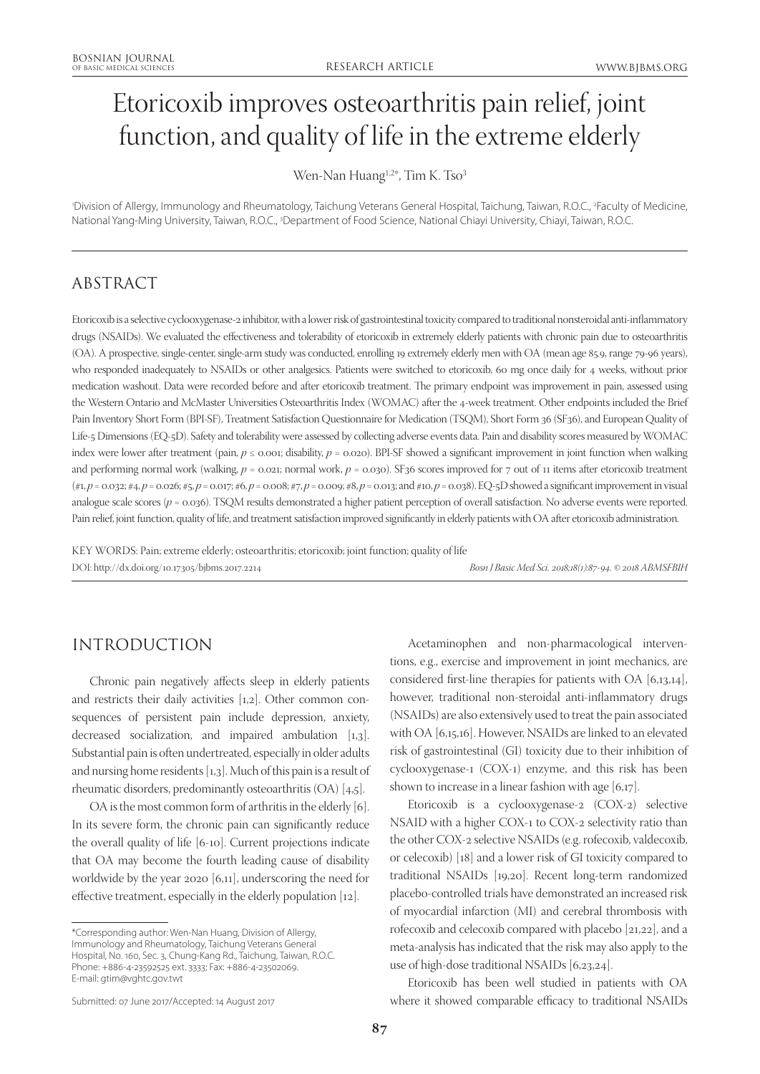# Etoricoxib improves osteoarthritis pain relief, joint function, and quality of life in the extreme elderly

Wen-Nan Huang<sup>1,2\*</sup>, Tim K. Tso<sup>3</sup>

'Division of Allergy, Immunology and Rheumatology, Taichung Veterans General Hospital, Taichung, Taiwan, R.O.C., <sup>2</sup>Faculty of Medicine, National Yang-Ming University, Taiwan, R.O.C., <sup>3</sup>Department of Food Science, National Chiayi University, Chiayi, Taiwan, R.O.C.

# ABSTRACT

Etoricoxib is a selective cyclooxygenase-2 inhibitor, with a lower risk of gastrointestinal toxicity compared to traditional nonsteroidal anti-inflammatory drugs (NSAIDs). We evaluated the effectiveness and tolerability of etoricoxib in extremely elderly patients with chronic pain due to osteoarthritis (OA). A prospective, single-center, single-arm study was conducted, enrolling 19 extremely elderly men with OA (mean age 85.9, range 79-96 years), who responded inadequately to NSAIDs or other analgesics. Patients were switched to etoricoxib, 60 mg once daily for 4 weeks, without prior medication washout. Data were recorded before and after etoricoxib treatment. The primary endpoint was improvement in pain, assessed using the Western Ontario and McMaster Universities Osteoarthritis Index (WOMAC) after the 4-week treatment. Other endpoints included the Brief Pain Inventory Short Form (BPI-SF), Treatment Satisfaction Questionnaire for Medication (TSQM), Short Form 36 (SF36), and European Quality of Life-5 Dimensions (EQ-5D). Safety and tolerability were assessed by collecting adverse events data. Pain and disability scores measured by WOMAC index were lower after treatment (pain, *p* ≤ 0.001; disability, *p* = 0.020). BPI-SF showed a significant improvement in joint function when walking and performing normal work (walking,  $p = 0.021$ ; normal work,  $p = 0.030$ ). SF36 scores improved for 7 out of 11 items after etoricoxib treatment (#1, *p* = 0.032; #4, *p* = 0.026; #5, *p* = 0.017; #6, *p* = 0.008; #7, *p* = 0.009; #8, *p* = 0.013; and #10, *p* = 0.038). EQ-5D showed a significant improvement in visual analogue scale scores ( $p = 0.036$ ). TSQM results demonstrated a higher patient perception of overall satisfaction. No adverse events were reported. Pain relief, joint function, quality of life, and treatment satisfaction improved significantly in elderly patients with OA after etoricoxib administration.

KEY WORDS: Pain; extreme elderly; osteoarthritis; etoricoxib; joint function; quality of life DOI: http://dx.doi.org/10.17305/bjbms.2017.2214 *Bosn J Basic Med Sci. 2018;18(1):87-94. © 2018 ABMSFBIH*

## INTRODUCTION

Chronic pain negatively affects sleep in elderly patients and restricts their daily activities [1,2]. Other common consequences of persistent pain include depression, anxiety, decreased socialization, and impaired ambulation [1,3]. Substantial pain is often undertreated, especially in older adults and nursing home residents [1,3]. Much of this pain is a result of rheumatic disorders, predominantly osteoarthritis (OA) [4,5].

OA is the most common form of arthritis in the elderly [6]. In its severe form, the chronic pain can significantly reduce the overall quality of life [6-10]. Current projections indicate that OA may become the fourth leading cause of disability worldwide by the year 2020 [6,11], underscoring the need for effective treatment, especially in the elderly population [12].

\*Corresponding author: Wen-Nan Huang, Division of Allergy, Immunology and Rheumatology, Taichung Veterans General Hospital, No. 160, Sec. 3, Chung-Kang Rd., Taichung, Taiwan, R.O.C. Phone: +886-4-23592525 ext. 3333; Fax: +886-4-23502069. E-mail: gtim@vghtc.gov.twt

Acetaminophen and non-pharmacological interventions, e.g., exercise and improvement in joint mechanics, are considered first-line therapies for patients with OA [6,13,14], however, traditional non-steroidal anti-inflammatory drugs (NSAIDs) are also extensively used to treat the pain associated with OA [6,15,16]. However, NSAIDs are linked to an elevated risk of gastrointestinal (GI) toxicity due to their inhibition of cyclooxygenase-1 (COX-1) enzyme, and this risk has been shown to increase in a linear fashion with age [6,17].

Etoricoxib is a cyclooxygenase-2 (COX-2) selective NSAID with a higher COX-1 to COX-2 selectivity ratio than the other COX-2 selective NSAIDs (e.g. rofecoxib, valdecoxib, or celecoxib) [18] and a lower risk of GI toxicity compared to traditional NSAIDs [19,20]. Recent long-term randomized placebo-controlled trials have demonstrated an increased risk of myocardial infarction (MI) and cerebral thrombosis with rofecoxib and celecoxib compared with placebo [21,22], and a meta-analysis has indicated that the risk may also apply to the use of high-dose traditional NSAIDs [6,23,24].

Etoricoxib has been well studied in patients with OA where it showed comparable efficacy to traditional NSAIDs

Submitted: 07 June 2017/Accepted: 14 August 2017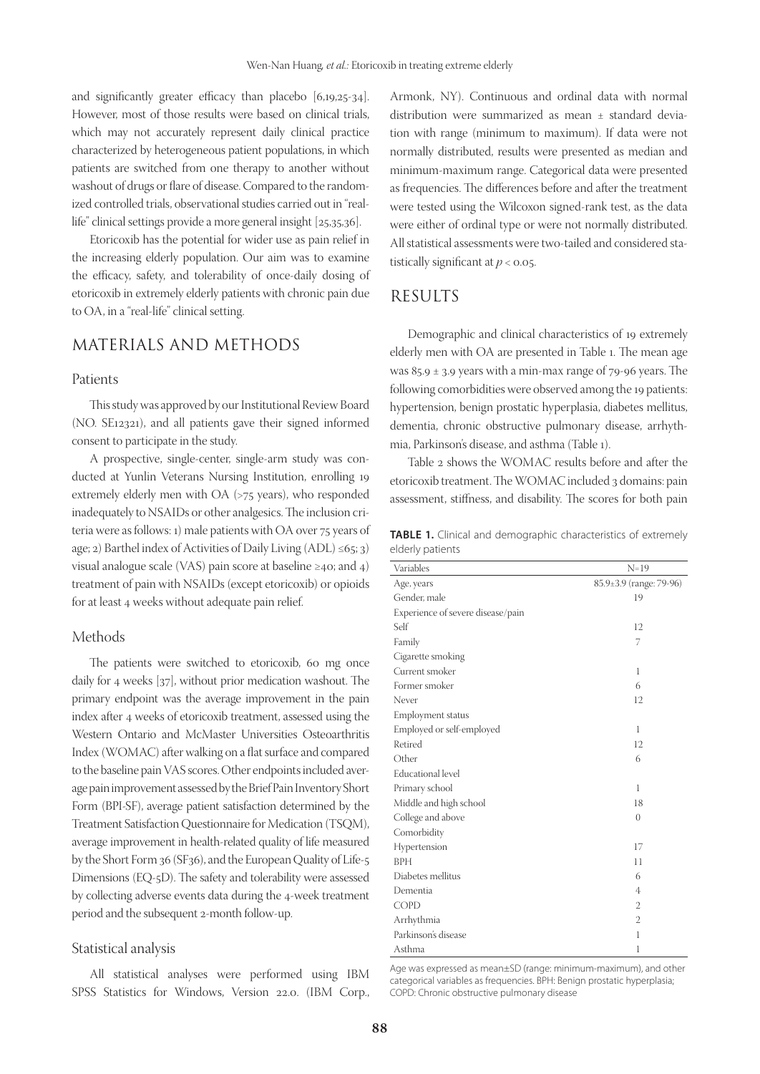and significantly greater efficacy than placebo [6,19,25-34]. However, most of those results were based on clinical trials, which may not accurately represent daily clinical practice characterized by heterogeneous patient populations, in which patients are switched from one therapy to another without washout of drugs or flare of disease. Compared to the randomized controlled trials, observational studies carried out in "reallife" clinical settings provide a more general insight [25,35,36].

Etoricoxib has the potential for wider use as pain relief in the increasing elderly population. Our aim was to examine the efficacy, safety, and tolerability of once-daily dosing of etoricoxib in extremely elderly patients with chronic pain due to OA, in a "real-life" clinical setting.

## MATERIALS AND METHODS

#### Patients

This study was approved by our Institutional Review Board (NO. SE12321), and all patients gave their signed informed consent to participate in the study.

A prospective, single-center, single-arm study was conducted at Yunlin Veterans Nursing Institution, enrolling 19 extremely elderly men with OA (>75 years), who responded inadequately to NSAIDs or other analgesics. The inclusion criteria were as follows: 1) male patients with OA over 75 years of age; 2) Barthel index of Activities of Daily Living  $(ADL) \le 65$ ; 3) visual analogue scale (VAS) pain score at baseline ≥40; and 4) treatment of pain with NSAIDs (except etoricoxib) or opioids for at least 4 weeks without adequate pain relief.

#### Methods

The patients were switched to etoricoxib, 60 mg once daily for 4 weeks [37], without prior medication washout. The primary endpoint was the average improvement in the pain index after 4 weeks of etoricoxib treatment, assessed using the Western Ontario and McMaster Universities Osteoarthritis Index (WOMAC) after walking on a flat surface and compared to the baseline pain VAS scores. Other endpoints included average pain improvement assessed by the Brief Pain Inventory Short Form (BPI-SF), average patient satisfaction determined by the Treatment Satisfaction Questionnaire for Medication (TSQM), average improvement in health-related quality of life measured by the Short Form 36 (SF36), and the European Quality of Life-5 Dimensions (EQ-5D). The safety and tolerability were assessed by collecting adverse events data during the 4-week treatment period and the subsequent 2-month follow-up.

### Statistical analysis

All statistical analyses were performed using IBM SPSS Statistics for Windows, Version 22.0. (IBM Corp., Armonk, NY). Continuous and ordinal data with normal distribution were summarized as mean ± standard deviation with range (minimum to maximum). If data were not normally distributed, results were presented as median and minimum-maximum range. Categorical data were presented as frequencies. The differences before and after the treatment were tested using the Wilcoxon signed-rank test, as the data were either of ordinal type or were not normally distributed. All statistical assessments were two-tailed and considered statistically significant at *p* < 0.05.

## RESULTS

Demographic and clinical characteristics of 19 extremely elderly men with OA are presented in Table 1. The mean age was  $85.9 \pm 3.9$  years with a min-max range of 79-96 years. The following comorbidities were observed among the 19 patients: hypertension, benign prostatic hyperplasia, diabetes mellitus, dementia, chronic obstructive pulmonary disease, arrhythmia, Parkinson's disease, and asthma (Table 1).

Table 2 shows the WOMAC results before and after the etoricoxib treatment. The WOMAC included 3 domains: pain assessment, stiffness, and disability. The scores for both pain

**TABLE 1.** Clinical and demographic characteristics of extremely elderly patients

| Variables                         | $N=19$                  |
|-----------------------------------|-------------------------|
| Age, years                        | 85.9±3.9 (range: 79-96) |
| Gender, male                      | 19                      |
| Experience of severe disease/pain |                         |
| Self                              | 12                      |
| Family                            | 7                       |
| Cigarette smoking                 |                         |
| Current smoker                    | 1                       |
| Former smoker                     | 6                       |
| Never                             | 12                      |
| Employment status                 |                         |
| Employed or self-employed         | 1                       |
| Retired                           | 12                      |
| Other                             | 6                       |
| Educational level                 |                         |
| Primary school                    | $\mathbf{1}$            |
| Middle and high school            | 18                      |
| College and above                 | $\overline{0}$          |
| Comorbidity                       |                         |
| Hypertension                      | 17                      |
| <b>BPH</b>                        | 11                      |
| Diabetes mellitus                 | 6                       |
| Dementia                          | 4                       |
| <b>COPD</b>                       | 2                       |
| Arrhythmia                        | $\mathbf{2}$            |
| Parkinson's disease               | $\mathbf{1}$            |
| Asthma                            | 1                       |

Age was expressed as mean±SD (range: minimum-maximum), and other categorical variables as frequencies. BPH: Benign prostatic hyperplasia; COPD: Chronic obstructive pulmonary disease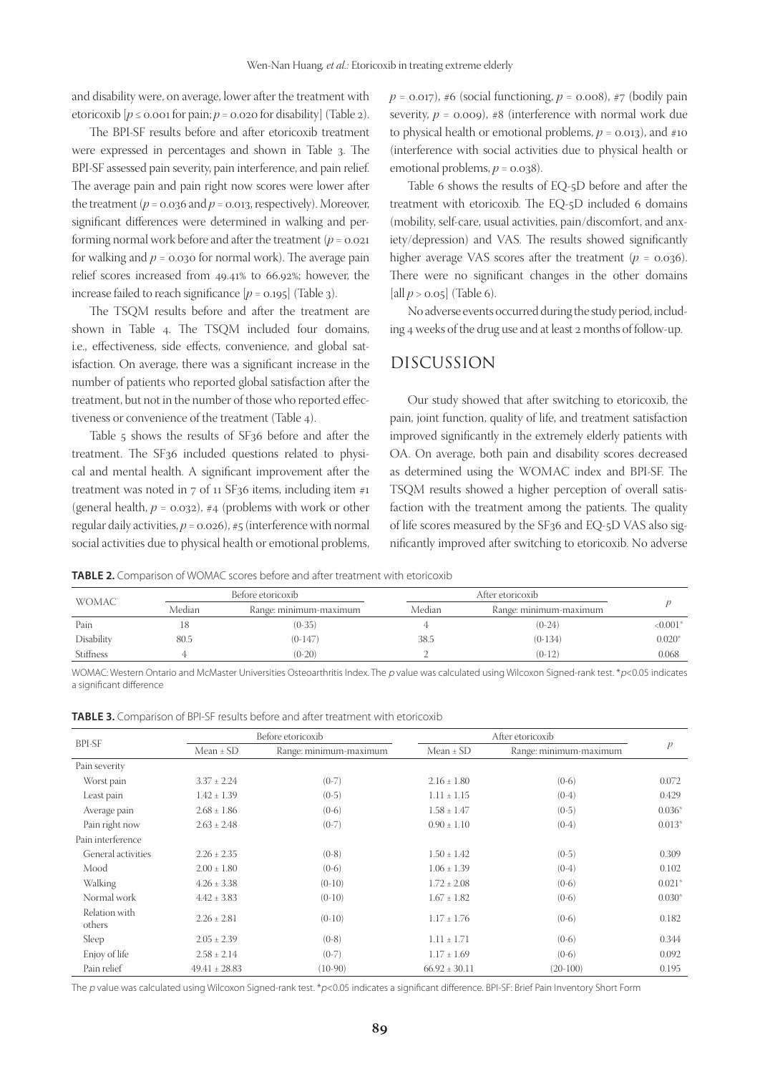and disability were, on average, lower after the treatment with etoricoxib  $[p \le 0.001$  for pain;  $p = 0.020$  for disability] (Table 2).

The BPI-SF results before and after etoricoxib treatment were expressed in percentages and shown in Table 3. The BPI-SF assessed pain severity, pain interference, and pain relief. The average pain and pain right now scores were lower after the treatment ( $p = 0.036$  and  $p = 0.013$ , respectively). Moreover, significant differences were determined in walking and performing normal work before and after the treatment ( $p = 0.021$ ) for walking and  $p = 0.030$  for normal work). The average pain relief scores increased from 49.41% to 66.92%; however, the increase failed to reach significance  $[p = 0.195]$  (Table 3).

The TSQM results before and after the treatment are shown in Table 4. The TSQM included four domains, i.e., effectiveness, side effects, convenience, and global satisfaction. On average, there was a significant increase in the number of patients who reported global satisfaction after the treatment, but not in the number of those who reported effectiveness or convenience of the treatment (Table 4).

Table 5 shows the results of SF36 before and after the treatment. The SF36 included questions related to physical and mental health. A significant improvement after the treatment was noted in  $7$  of 11 SF36 items, including item  $#1$ (general health,  $p = 0.032$ ), #4 (problems with work or other regular daily activities,  $p = 0.026$ ), #5 (interference with normal social activities due to physical health or emotional problems,

 $p = 0.017$ , #6 (social functioning,  $p = 0.008$ ), #7 (bodily pain severity,  $p = 0.009$ ), #8 (interference with normal work due to physical health or emotional problems,  $p = 0.013$ ), and #10 (interference with social activities due to physical health or emotional problems,  $p = 0.038$ ).

Table 6 shows the results of EQ-5D before and after the treatment with etoricoxib. The EQ-5D included 6 domains (mobility, self-care, usual activities, pain/discomfort, and anxiety/depression) and VAS. The results showed significantly higher average VAS scores after the treatment  $(p = 0.036)$ . There were no significant changes in the other domains [all  $p > 0.05$ ] (Table 6).

No adverse events occurred during the study period, including 4 weeks of the drug use and at least 2 months of follow-up.

## DISCUSSION

Our study showed that after switching to etoricoxib, the pain, joint function, quality of life, and treatment satisfaction improved significantly in the extremely elderly patients with OA. On average, both pain and disability scores decreased as determined using the WOMAC index and BPI-SF. The TSQM results showed a higher perception of overall satisfaction with the treatment among the patients. The quality of life scores measured by the SF36 and EQ-5D VAS also significantly improved after switching to etoricoxib. No adverse

**TABLE 2.** Comparison of WOMAC scores before and after treatment with etoricoxib

|                  |        | Before etoricoxib      |        | After etoricoxib       |             |  |
|------------------|--------|------------------------|--------|------------------------|-------------|--|
| <b>WOMAC</b>     | Median | Range: minimum-maximum | Median | Range: minimum-maximum |             |  |
| Pain             |        | $(0-35)$               |        | $(0-24)$               | ${<}0.001*$ |  |
| Disability       | 80.5   | $(0-147)$              | 38.5   | $(0-134)$              | $0.020*$    |  |
| <b>Stiffness</b> |        | $(0-20)$               |        | $(0-12)$               | 0.068       |  |

WOMAC: Western Ontario and McMaster Universities Osteoarthritis Index. The p value was calculated using Wilcoxon Signed-rank test. \*p<0.05 indicates a significant difference

| <b>TABLE 3.</b> Comparison of BPI-SF results before and after treatment with etoricoxib |  |  |  |  |
|-----------------------------------------------------------------------------------------|--|--|--|--|
|-----------------------------------------------------------------------------------------|--|--|--|--|

|                         | Before etoricoxib |                        |                   |                        |               |
|-------------------------|-------------------|------------------------|-------------------|------------------------|---------------|
| <b>BPI-SF</b>           | Mean $\pm$ SD     | Range: minimum-maximum | $Mean \pm SD$     | Range: minimum-maximum | $\mathcal{P}$ |
| Pain severity           |                   |                        |                   |                        |               |
| Worst pain              | $3.37 \pm 2.24$   | $(0-7)$                | $2.16 \pm 1.80$   | $(0-6)$                | 0.072         |
| Least pain              | $1.42 \pm 1.39$   | $(0-5)$                | $1.11 \pm 1.15$   | $(0-4)$                | 0.429         |
| Average pain            | $2.68 \pm 1.86$   | $(0-6)$                | $1.58 \pm 1.47$   | $(0-5)$                | $0.036*$      |
| Pain right now          | $2.63 \pm 2.48$   | $(0-7)$                | $0.90 \pm 1.10$   | $(0-4)$                | $0.013*$      |
| Pain interference       |                   |                        |                   |                        |               |
| General activities      | $2.26 \pm 2.35$   | $(0-8)$                | $1.50 \pm 1.42$   | $(0-5)$                | 0.309         |
| Mood                    | $2.00 \pm 1.80$   | $(0-6)$                | $1.06 \pm 1.39$   | $(0-4)$                | 0.102         |
| Walking                 | $4.26 \pm 3.38$   | $(0-10)$               | $1.72 \pm 2.08$   | $(0-6)$                | $0.021*$      |
| Normal work             | $4.42 \pm 3.83$   | $(0-10)$               | $1.67 \pm 1.82$   | $(0-6)$                | $0.030*$      |
| Relation with<br>others | $2.26 \pm 2.81$   | $(0-10)$               | $1.17 \pm 1.76$   | $(0-6)$                | 0.182         |
| Sleep                   | $2.05 \pm 2.39$   | $(0-8)$                | $1.11 \pm 1.71$   | $(0-6)$                | 0.344         |
| Enjoy of life           | $2.58 \pm 2.14$   | $(0-7)$                | $1.17 \pm 1.69$   | $(0-6)$                | 0.092         |
| Pain relief             | $49.41 \pm 28.83$ | $(10-90)$              | $66.92 \pm 30.11$ | $(20-100)$             | 0.195         |

The p value was calculated using Wilcoxon Signed-rank test. \*p<0.05 indicates a significant difference. BPI-SF: Brief Pain Inventory Short Form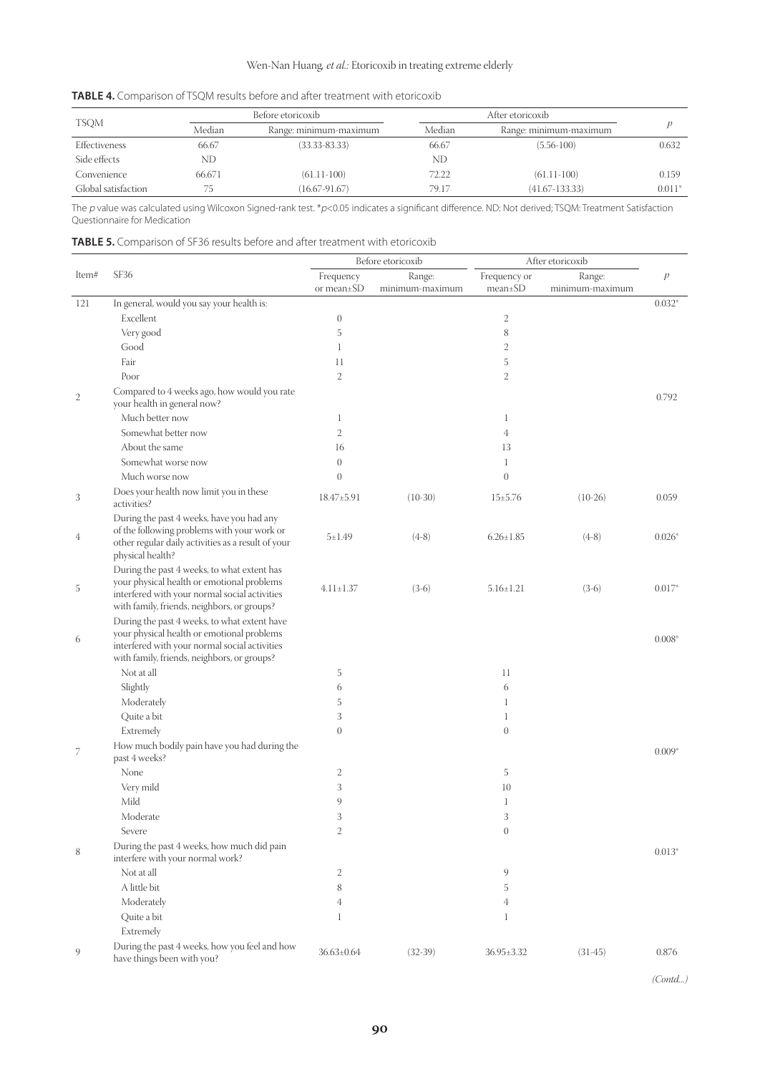## Wen-Nan Huang*, et al.:* Etoricoxib in treating extreme elderly

|                     | Before etoricoxib |                        |        |                        |          |  |
|---------------------|-------------------|------------------------|--------|------------------------|----------|--|
| <b>TSQM</b>         | Median            | Range: minimum-maximum | Median | Range: minimum-maximum |          |  |
| Effectiveness       | 66.67             | $(33.33 - 83.33)$      | 66.67  | $(5.56-100)$           | 0.632    |  |
| Side effects        | ND                |                        | ND     |                        |          |  |
| Convenience         | 66.671            | $(61.11-100)$          | 72.22  | $(61.11-100)$          | 0.159    |  |
| Global satisfaction | 75                | $(16.67 - 91.67)$      | 79.17  | $(41.67 - 133.33)$     | $0.011*$ |  |

| <b>TABLE 4.</b> Comparison of TSQM results before and after treatment with etoricoxib |  |  |  |
|---------------------------------------------------------------------------------------|--|--|--|
|---------------------------------------------------------------------------------------|--|--|--|

The p value was calculated using Wilcoxon Signed-rank test. \*p<0.05 indicates a significant difference. ND: Not derived; TSQM: Treatment Satisfaction Questionnaire for Medication

| <b>TABLE 5.</b> Comparison of SF36 results before and after treatment with etoricoxib |  |
|---------------------------------------------------------------------------------------|--|
|---------------------------------------------------------------------------------------|--|

|              | Before etoricoxib                                                                                                                                                                          |                         |                           | After etoricoxib              |                           |                  |
|--------------|--------------------------------------------------------------------------------------------------------------------------------------------------------------------------------------------|-------------------------|---------------------------|-------------------------------|---------------------------|------------------|
| Item#        | SF36                                                                                                                                                                                       | Frequency<br>or mean±SD | Range:<br>minimum-maximum | Frequency or<br>$mean \pm SD$ | Range:<br>minimum-maximum | $\boldsymbol{p}$ |
| 121          | In general, would you say your health is:                                                                                                                                                  |                         |                           |                               |                           | $0.032*$         |
|              | Excellent                                                                                                                                                                                  | $\theta$                |                           | $\mathbf{2}$                  |                           |                  |
|              | Very good                                                                                                                                                                                  | 5                       |                           | 8                             |                           |                  |
|              | Good                                                                                                                                                                                       | $\mathbf{1}$            |                           | 2                             |                           |                  |
|              | Fair                                                                                                                                                                                       | 11                      |                           | 5                             |                           |                  |
|              | Poor                                                                                                                                                                                       | $\mathfrak{2}$          |                           | $\overline{2}$                |                           |                  |
| $\mathbf{2}$ | Compared to 4 weeks ago, how would you rate<br>your health in general now?                                                                                                                 |                         |                           |                               |                           | 0.792            |
|              | Much better now                                                                                                                                                                            | $\mathbf{1}$            |                           | 1                             |                           |                  |
|              | Somewhat better now                                                                                                                                                                        | 2                       |                           | 4                             |                           |                  |
|              | About the same                                                                                                                                                                             | 16                      |                           | 13                            |                           |                  |
|              | Somewhat worse now                                                                                                                                                                         | $\theta$                |                           | 1                             |                           |                  |
|              | Much worse now                                                                                                                                                                             | $\overline{0}$          |                           | $\boldsymbol{0}$              |                           |                  |
| 3            | Does your health now limit you in these<br>activities?                                                                                                                                     | 18.47±5.91              | $(10-30)$                 | $15 \pm 5.76$                 | $(10-26)$                 | 0.059            |
| 4            | During the past 4 weeks, have you had any<br>of the following problems with your work or<br>other regular daily activities as a result of your<br>physical health?                         | $5 + 1.49$              | $(4-8)$                   | $6.26 \pm 1.85$               | $(4-8)$                   | $0.026*$         |
| 5            | During the past 4 weeks, to what extent has<br>your physical health or emotional problems<br>interfered with your normal social activities<br>with family, friends, neighbors, or groups?  | $4.11 \pm 1.37$         | $(3-6)$                   | $5.16 \pm 1.21$               | $(3-6)$                   | $0.017*$         |
| 6            | During the past 4 weeks, to what extent have<br>your physical health or emotional problems<br>interfered with your normal social activities<br>with family, friends, neighbors, or groups? |                         |                           |                               |                           | $0.008*$         |
|              | Not at all                                                                                                                                                                                 | 5                       |                           | 11                            |                           |                  |
|              | Slightly                                                                                                                                                                                   | 6                       |                           | 6                             |                           |                  |
|              | Moderately                                                                                                                                                                                 | 5                       |                           | 1                             |                           |                  |
|              | Quite a bit                                                                                                                                                                                | 3                       |                           | 1                             |                           |                  |
|              | Extremely                                                                                                                                                                                  | $\overline{0}$          |                           | $\boldsymbol{0}$              |                           |                  |
| 7            | How much bodily pain have you had during the<br>past 4 weeks?                                                                                                                              |                         |                           |                               |                           | $0.009*$         |
|              | None                                                                                                                                                                                       | 2                       |                           | 5                             |                           |                  |
|              | Very mild                                                                                                                                                                                  | 3                       |                           | 10                            |                           |                  |
|              | Mild                                                                                                                                                                                       | 9                       |                           | 1                             |                           |                  |
|              | Moderate                                                                                                                                                                                   | 3                       |                           | 3                             |                           |                  |
|              | Severe                                                                                                                                                                                     | 2                       |                           | $\overline{0}$                |                           |                  |
| 8            | During the past 4 weeks, how much did pain<br>interfere with your normal work?                                                                                                             |                         |                           |                               |                           | $0.013*$         |
|              | Not at all                                                                                                                                                                                 | 2                       |                           | 9                             |                           |                  |
|              | A little bit                                                                                                                                                                               | 8                       |                           | 5                             |                           |                  |
|              | Moderately                                                                                                                                                                                 | 4                       |                           | 4                             |                           |                  |
|              | Quite a bit                                                                                                                                                                                | $\mathbf{1}$            |                           | 1                             |                           |                  |
|              | Extremely                                                                                                                                                                                  |                         |                           |                               |                           |                  |
| 9            | During the past 4 weeks, how you feel and how<br>have things been with you?                                                                                                                | $36.63 \pm 0.64$        | $(32-39)$                 | 36.95±3.32                    | $(31-45)$                 | 0.876            |

*(Contd...)*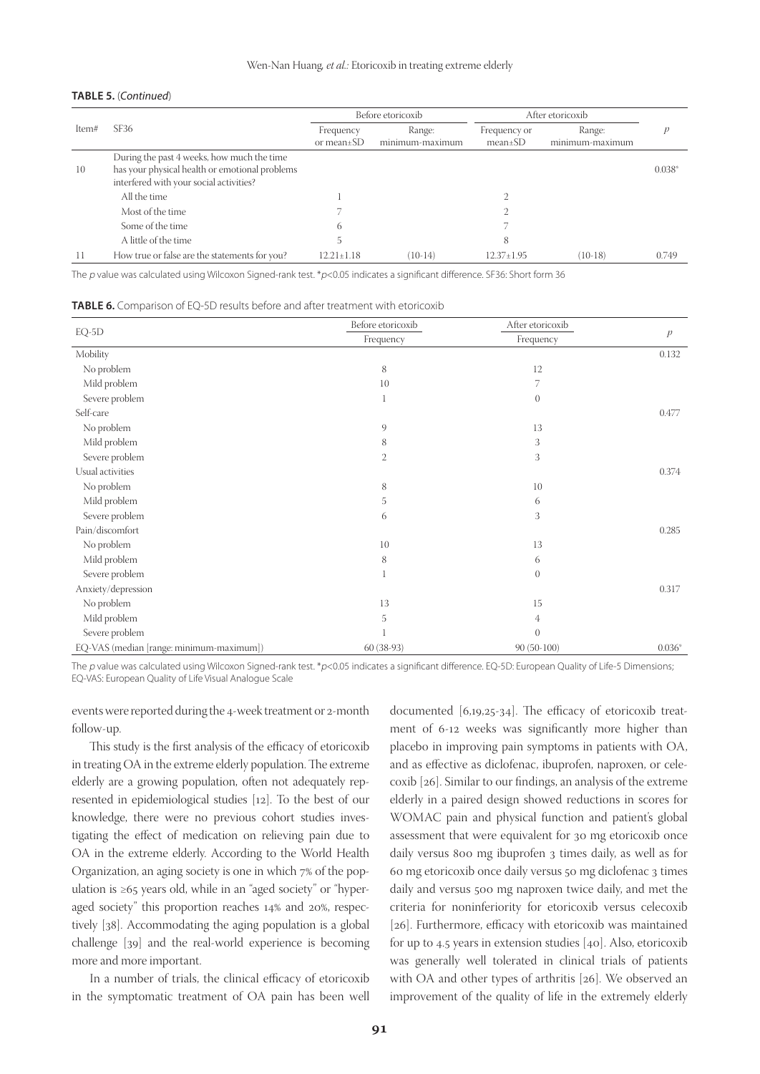#### **TABLE 5.** (*Continued*)

|       |                                                                                                                                         | Before etoricoxib             |                           | After etoricoxib              |                           |          |
|-------|-----------------------------------------------------------------------------------------------------------------------------------------|-------------------------------|---------------------------|-------------------------------|---------------------------|----------|
| Item# | SF36                                                                                                                                    | Frequency<br>or mean $\pm$ SD | Range:<br>minimum-maximum | Frequency or<br>$mean \pm SD$ | Range:<br>minimum-maximum |          |
| 10    | During the past 4 weeks, how much the time<br>has your physical health or emotional problems<br>interfered with your social activities? |                               |                           |                               |                           | $0.038*$ |
|       | All the time                                                                                                                            |                               |                           |                               |                           |          |
|       | Most of the time                                                                                                                        |                               |                           |                               |                           |          |
|       | Some of the time                                                                                                                        | 6                             |                           |                               |                           |          |
|       | A little of the time                                                                                                                    |                               |                           | 8                             |                           |          |
|       | How true or false are the statements for you?                                                                                           | $12.21 + 1.18$                | $(10-14)$                 | $12.37 \pm 1.95$              | $(10-18)$                 | 0.749    |

The p value was calculated using Wilcoxon Signed-rank test. \*p<0.05 indicates a significant difference. SF36: Short form 36

**TABLE 6.** Comparison of EQ-5D results before and after treatment with etoricoxib

|                                          | Before etoricoxib | After etoricoxib |               |
|------------------------------------------|-------------------|------------------|---------------|
| $EQ-5D$                                  | Frequency         | Frequency        | $\mathcal{P}$ |
| Mobility                                 |                   |                  | 0.132         |
| No problem                               | 8                 | 12               |               |
| Mild problem                             | 10                | 7                |               |
| Severe problem                           | $\mathbf{1}$      | $\theta$         |               |
| Self-care                                |                   |                  | 0.477         |
| No problem                               | 9                 | 13               |               |
| Mild problem                             | 8                 | 3                |               |
| Severe problem                           | $\mathbf{2}$      | 3                |               |
| Usual activities                         |                   |                  | 0.374         |
| No problem                               | 8                 | 10               |               |
| Mild problem                             | 5                 | 6                |               |
| Severe problem                           | 6                 | 3                |               |
| Pain/discomfort                          |                   |                  | 0.285         |
| No problem                               | 10                | 13               |               |
| Mild problem                             | 8                 | 6                |               |
| Severe problem                           | 1                 | $\theta$         |               |
| Anxiety/depression                       |                   |                  | 0.317         |
| No problem                               | 13                | 15               |               |
| Mild problem                             | 5                 | 4                |               |
| Severe problem                           |                   | $\theta$         |               |
| EQ-VAS (median [range: minimum-maximum]) | $60(38-93)$       | $90(50-100)$     | $0.036*$      |

The p value was calculated using Wilcoxon Signed-rank test. \*p<0.05 indicates a significant difference. EQ-5D: European Quality of Life-5 Dimensions; EQ-VAS: European Quality of Life Visual Analogue Scale

events were reported during the 4-week treatment or 2-month follow-up.

This study is the first analysis of the efficacy of etoricoxib in treating OA in the extreme elderly population. The extreme elderly are a growing population, often not adequately represented in epidemiological studies [12]. To the best of our knowledge, there were no previous cohort studies investigating the effect of medication on relieving pain due to OA in the extreme elderly. According to the World Health Organization, an aging society is one in which 7% of the population is ≥65 years old, while in an "aged society" or "hyperaged society" this proportion reaches 14% and 20%, respectively [38]. Accommodating the aging population is a global challenge [39] and the real-world experience is becoming more and more important.

In a number of trials, the clinical efficacy of etoricoxib in the symptomatic treatment of OA pain has been well documented [6,19,25-34]. The efficacy of etoricoxib treatment of 6-12 weeks was significantly more higher than placebo in improving pain symptoms in patients with OA, and as effective as diclofenac, ibuprofen, naproxen, or celecoxib [26]. Similar to our findings, an analysis of the extreme elderly in a paired design showed reductions in scores for WOMAC pain and physical function and patient's global assessment that were equivalent for 30 mg etoricoxib once daily versus 800 mg ibuprofen 3 times daily, as well as for 60 mg etoricoxib once daily versus 50 mg diclofenac 3 times daily and versus 500 mg naproxen twice daily, and met the criteria for noninferiority for etoricoxib versus celecoxib [26]. Furthermore, efficacy with etoricoxib was maintained for up to 4.5 years in extension studies [40]. Also, etoricoxib was generally well tolerated in clinical trials of patients with OA and other types of arthritis [26]. We observed an improvement of the quality of life in the extremely elderly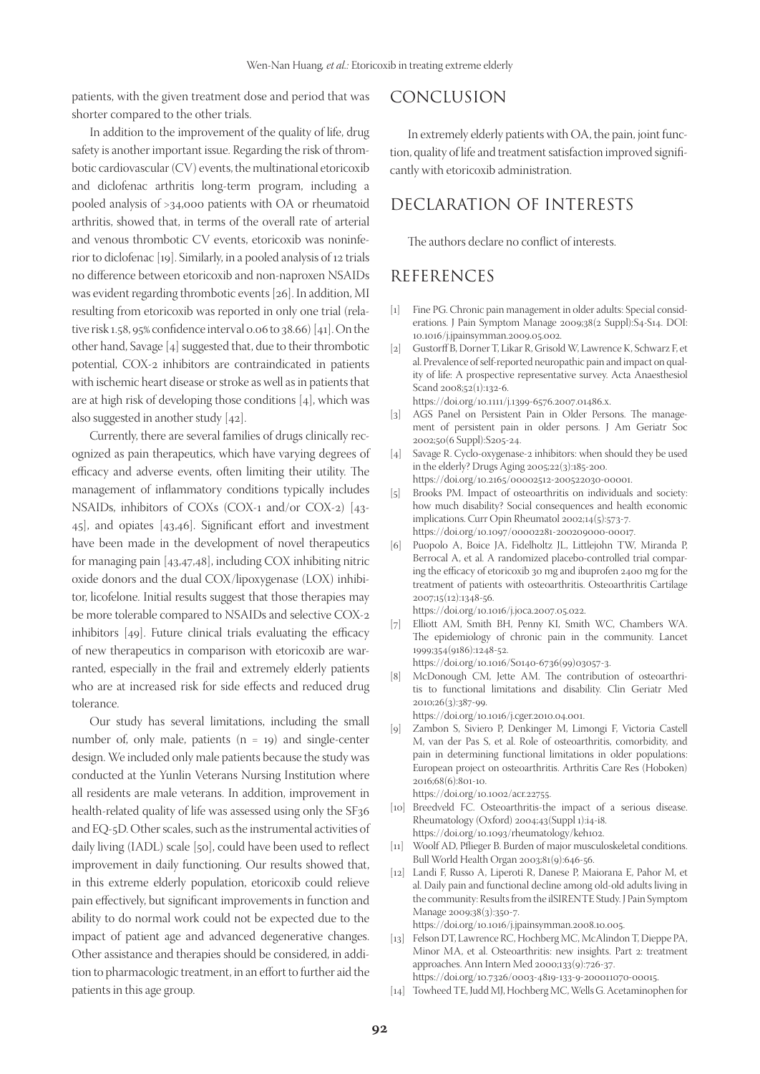patients, with the given treatment dose and period that was shorter compared to the other trials.

In addition to the improvement of the quality of life, drug safety is another important issue. Regarding the risk of thrombotic cardiovascular (CV) events, the multinational etoricoxib and diclofenac arthritis long-term program, including a pooled analysis of >34,000 patients with OA or rheumatoid arthritis, showed that, in terms of the overall rate of arterial and venous thrombotic CV events, etoricoxib was noninferior to diclofenac [19]. Similarly, in a pooled analysis of 12 trials no difference between etoricoxib and non-naproxen NSAIDs was evident regarding thrombotic events [26]. In addition, MI resulting from etoricoxib was reported in only one trial (relative risk 1.58, 95% confidence interval 0.06 to 38.66) [41]. On the other hand, Savage [4] suggested that, due to their thrombotic potential, COX-2 inhibitors are contraindicated in patients with ischemic heart disease or stroke as well as in patients that are at high risk of developing those conditions [4], which was also suggested in another study [42].

Currently, there are several families of drugs clinically recognized as pain therapeutics, which have varying degrees of efficacy and adverse events, often limiting their utility. The management of inflammatory conditions typically includes NSAIDs, inhibitors of COXs (COX-1 and/or COX-2) [43- 45], and opiates [43,46]. Significant effort and investment have been made in the development of novel therapeutics for managing pain [43,47,48], including COX inhibiting nitric oxide donors and the dual COX/lipoxygenase (LOX) inhibitor, licofelone. Initial results suggest that those therapies may be more tolerable compared to NSAIDs and selective COX-2 inhibitors [49]. Future clinical trials evaluating the efficacy of new therapeutics in comparison with etoricoxib are warranted, especially in the frail and extremely elderly patients who are at increased risk for side effects and reduced drug tolerance.

Our study has several limitations, including the small number of, only male, patients  $(n = 19)$  and single-center design. We included only male patients because the study was conducted at the Yunlin Veterans Nursing Institution where all residents are male veterans. In addition, improvement in health-related quality of life was assessed using only the SF36 and EQ-5D. Other scales, such as the instrumental activities of daily living (IADL) scale [50], could have been used to reflect improvement in daily functioning. Our results showed that, in this extreme elderly population, etoricoxib could relieve pain effectively, but significant improvements in function and ability to do normal work could not be expected due to the impact of patient age and advanced degenerative changes. Other assistance and therapies should be considered, in addition to pharmacologic treatment, in an effort to further aid the patients in this age group.

# CONCLUSION

In extremely elderly patients with OA, the pain, joint function, quality of life and treatment satisfaction improved significantly with etoricoxib administration.

# DECLARATION OF INTERESTS

The authors declare no conflict of interests.

## REFERENCES

- [1] Fine PG. Chronic pain management in older adults: Special considerations. J Pain Symptom Manage 2009;38(2 Suppl):S4-S14. DOI: 10.1016/j.jpainsymman.2009.05.002.
- [2] Gustorff B, Dorner T, Likar R, Grisold W, Lawrence K, Schwarz F, et al. Prevalence of self-reported neuropathic pain and impact on quality of life: A prospective representative survey. Acta Anaesthesiol Scand 2008;52(1):132-6.

https://doi.org/10.1111/j.1399-6576.2007.01486.x.

- [3] AGS Panel on Persistent Pain in Older Persons. The management of persistent pain in older persons. J Am Geriatr Soc 2002;50(6 Suppl):S205-24.
- [4] Savage R. Cyclo-oxygenase-2 inhibitors: when should they be used in the elderly? Drugs Aging 2005;22(3):185-200. https://doi.org/10.2165/00002512-200522030-00001.
- [5] Brooks PM. Impact of osteoarthritis on individuals and society: how much disability? Social consequences and health economic implications. Curr Opin Rheumatol 2002;14(5):573-7. https://doi.org/10.1097/00002281-200209000-00017.
- [6] Puopolo A, Boice JA, Fidelholtz JL, Littlejohn TW, Miranda P, Berrocal A, et al. A randomized placebo-controlled trial comparing the efficacy of etoricoxib 30 mg and ibuprofen 2400 mg for the treatment of patients with osteoarthritis. Osteoarthritis Cartilage 2007;15(12):1348-56.

https://doi.org/10.1016/j.joca.2007.05.022.

[7] Elliott AM, Smith BH, Penny KI, Smith WC, Chambers WA. The epidemiology of chronic pain in the community. Lancet 1999;354(9186):1248-52.

https://doi.org/10.1016/S0140-6736(99)03057-3.

[8] McDonough CM, Jette AM. The contribution of osteoarthritis to functional limitations and disability. Clin Geriatr Med 2010;26(3):387-99.

https://doi.org/10.1016/j.cger.2010.04.001.

[9] Zambon S, Siviero P, Denkinger M, Limongi F, Victoria Castell M, van der Pas S, et al. Role of osteoarthritis, comorbidity, and pain in determining functional limitations in older populations: European project on osteoarthritis. Arthritis Care Res (Hoboken) 2016;68(6):801-10.

https://doi.org/10.1002/acr.22755.

- [10] Breedveld FC. Osteoarthritis-the impact of a serious disease. Rheumatology (Oxford) 2004;43(Suppl 1):i4-i8. https://doi.org/10.1093/rheumatology/keh102.
- [11] Woolf AD, Pflieger B. Burden of major musculoskeletal conditions. Bull World Health Organ 2003;81(9):646-56.
- [12] Landi F, Russo A, Liperoti R, Danese P, Maiorana E, Pahor M, et al. Daily pain and functional decline among old-old adults living in the community: Results from the ilSIRENTE Study. J Pain Symptom Manage 2009;38(3):350-7.

https://doi.org/10.1016/j.jpainsymman.2008.10.005.

- [13] Felson DT, Lawrence RC, Hochberg MC, McAlindon T, Dieppe PA, Minor MA, et al. Osteoarthritis: new insights. Part 2: treatment approaches. Ann Intern Med 2000;133(9):726-37.
- https://doi.org/10.7326/0003-4819-133-9-200011070-00015. [14] Towheed TE, Judd MJ, Hochberg MC, Wells G. Acetaminophen for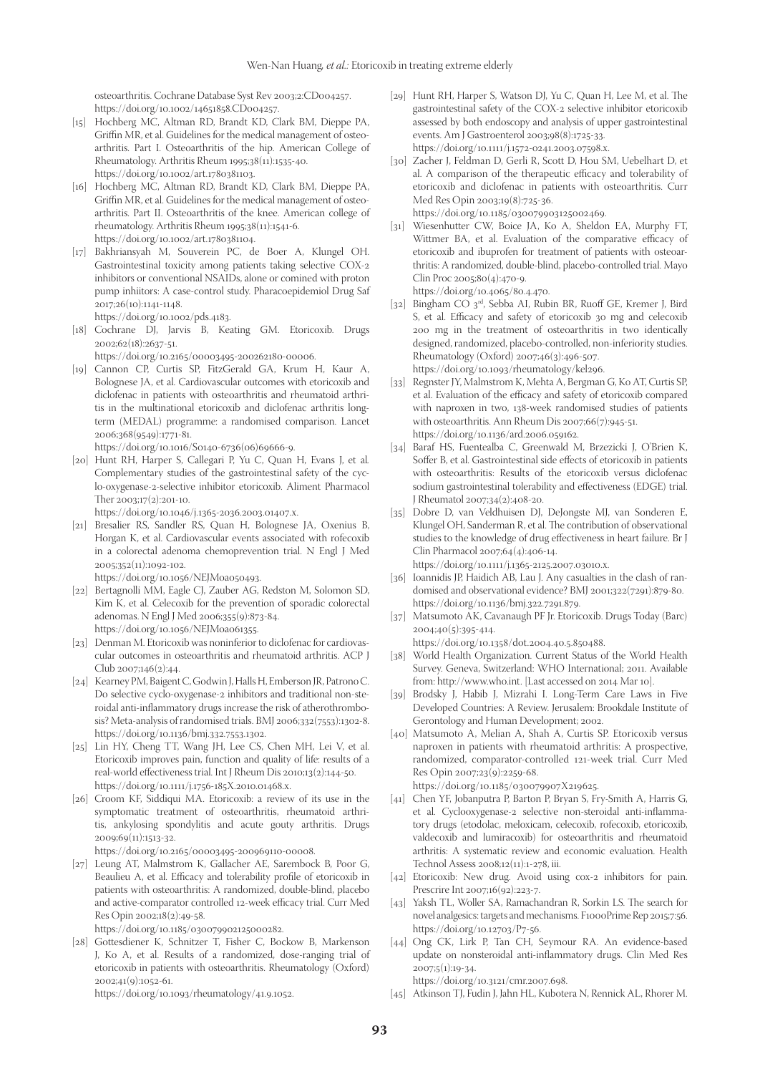osteoarthritis. Cochrane Database Syst Rev 2003;2:CD004257. https://doi.org/10.1002/14651858.CD004257.

- [15] Hochberg MC, Altman RD, Brandt KD, Clark BM, Dieppe PA, Griffin MR, et al. Guidelines for the medical management of osteoarthritis. Part I. Osteoarthritis of the hip. American College of Rheumatology. Arthritis Rheum 1995;38(11):1535-40. https://doi.org/10.1002/art.1780381103.
- [16] Hochberg MC, Altman RD, Brandt KD, Clark BM, Dieppe PA, Griffin MR, et al. Guidelines for the medical management of osteoarthritis. Part II. Osteoarthritis of the knee. American college of rheumatology. Arthritis Rheum 1995;38(11):1541-6. https://doi.org/10.1002/art.1780381104.
- [17] Bakhriansyah M, Souverein PC, de Boer A, Klungel OH. Gastrointestinal toxicity among patients taking selective COX-2 inhibitors or conventional NSAIDs, alone or comined with proton pump inhiitors: A case-control study. Pharacoepidemiol Drug Saf 2017;26(10):1141-1148.

https://doi.org/10.1002/pds.4183.

- [18] Cochrane DJ, Jarvis B, Keating GM. Etoricoxib. Drugs 2002;62(18):2637-51. https://doi.org/10.2165/00003495-200262180-00006.
- [19] Cannon CP, Curtis SP, FitzGerald GA, Krum H, Kaur A, Bolognese JA, et al. Cardiovascular outcomes with etoricoxib and diclofenac in patients with osteoarthritis and rheumatoid arthritis in the multinational etoricoxib and diclofenac arthritis longterm (MEDAL) programme: a randomised comparison. Lancet 2006;368(9549):1771-81.

https://doi.org/10.1016/S0140-6736(06)69666-9.

[20] Hunt RH, Harper S, Callegari P, Yu C, Quan H, Evans J, et al*.* Complementary studies of the gastrointestinal safety of the cyclo-oxygenase-2-selective inhibitor etoricoxib. Aliment Pharmacol Ther 2003;17(2):201-10.

https://doi.org/10.1046/j.1365-2036.2003.01407.x.

[21] Bresalier RS, Sandler RS, Quan H, Bolognese JA, Oxenius B, Horgan K, et al. Cardiovascular events associated with rofecoxib in a colorectal adenoma chemoprevention trial. N Engl J Med 2005;352(11):1092-102.

https://doi.org/10.1056/NEJMoa050493.

- [22] Bertagnolli MM, Eagle CJ, Zauber AG, Redston M, Solomon SD, Kim K, et al. Celecoxib for the prevention of sporadic colorectal adenomas. N Engl J Med 2006;355(9):873-84. https://doi.org/10.1056/NEJMoa061355.
- [23] Denman M. Etoricoxib was noninferior to diclofenac for cardiovascular outcomes in osteoarthritis and rheumatoid arthritis. ACP J Club 2007;146(2):44.
- [24] Kearney PM, Baigent C, Godwin J, Halls H, Emberson JR, Patrono C. Do selective cyclo-oxygenase-2 inhibitors and traditional non-steroidal anti-inflammatory drugs increase the risk of atherothrombosis? Meta-analysis of randomised trials. BMJ 2006;332(7553):1302-8. https://doi.org/10.1136/bmj.332.7553.1302.
- [25] Lin HY, Cheng TT, Wang JH, Lee CS, Chen MH, Lei V, et al. Etoricoxib improves pain, function and quality of life: results of a real-world effectiveness trial. Int J Rheum Dis 2010;13(2):144-50. https://doi.org/10.1111/j.1756-185X.2010.01468.x.
- [26] Croom KF, Siddiqui MA. Etoricoxib: a review of its use in the symptomatic treatment of osteoarthritis, rheumatoid arthritis, ankylosing spondylitis and acute gouty arthritis. Drugs 2009;69(11):1513-32.

https://doi.org/10.2165/00003495-200969110-00008.

[27] Leung AT, Malmstrom K, Gallacher AE, Sarembock B, Poor G, Beaulieu A, et al. Efficacy and tolerability profile of etoricoxib in patients with osteoarthritis: A randomized, double-blind, placebo and active-comparator controlled 12-week efficacy trial. Curr Med Res Opin 2002;18(2):49-58.

https://doi.org/10.1185/030079902125000282.

[28] Gottesdiener K, Schnitzer T, Fisher C, Bockow B, Markenson J, Ko A, et al. Results of a randomized, dose-ranging trial of etoricoxib in patients with osteoarthritis. Rheumatology (Oxford) 2002;41(9):1052-61.

https://doi.org/10.1093/rheumatology/41.9.1052.

- [29] Hunt RH, Harper S, Watson DJ, Yu C, Quan H, Lee M, et al. The gastrointestinal safety of the COX-2 selective inhibitor etoricoxib assessed by both endoscopy and analysis of upper gastrointestinal events. Am J Gastroenterol 2003;98(8):1725-33. https://doi.org/10.1111/j.1572-0241.2003.07598.x.
- [30] Zacher J, Feldman D, Gerli R, Scott D, Hou SM, Uebelhart D, et al. A comparison of the therapeutic efficacy and tolerability of etoricoxib and diclofenac in patients with osteoarthritis. Curr Med Res Opin 2003;19(8):725-36. https://doi.org/10.1185/030079903125002469.
- [31] Wiesenhutter CW, Boice JA, Ko A, Sheldon EA, Murphy FT, Wittmer BA, et al. Evaluation of the comparative efficacy of etoricoxib and ibuprofen for treatment of patients with osteoarthritis: A randomized, double-blind, placebo-controlled trial. Mayo Clin Proc 2005;80(4):470-9.

https://doi.org/10.4065/80.4.470.

- [32] Bingham CO 3<sup>rd</sup>, Sebba AI, Rubin BR, Ruoff GE, Kremer J, Bird S, et al. Efficacy and safety of etoricoxib 30 mg and celecoxib 200 mg in the treatment of osteoarthritis in two identically designed, randomized, placebo-controlled, non-inferiority studies. Rheumatology (Oxford) 2007;46(3):496-507. https://doi.org/10.1093/rheumatology/kel296.
- [33] Regnster JY, Malmstrom K, Mehta A, Bergman G, Ko AT, Curtis SP, et al. Evaluation of the efficacy and safety of etoricoxib compared with naproxen in two, 138-week randomised studies of patients with osteoarthritis. Ann Rheum Dis 2007;66(7):945-51. https://doi.org/10.1136/ard.2006.059162.
- [34] Baraf HS, Fuentealba C, Greenwald M, Brzezicki J, O'Brien K, Soffer B, et al. Gastrointestinal side effects of etoricoxib in patients with osteoarthritis: Results of the etoricoxib versus diclofenac sodium gastrointestinal tolerability and effectiveness (EDGE) trial. J Rheumatol 2007;34(2):408-20.
- [35] Dobre D, van Veldhuisen DJ, DeJongste MJ, van Sonderen E, Klungel OH, Sanderman R, et al. The contribution of observational studies to the knowledge of drug effectiveness in heart failure. Br J Clin Pharmacol 2007;64(4):406-14.

https://doi.org/10.1111/j.1365-2125.2007.03010.x.

- [36] Ioannidis JP, Haidich AB, Lau J. Any casualties in the clash of randomised and observational evidence? BMJ 2001;322(7291):879-80. https://doi.org/10.1136/bmj.322.7291.879.
- [37] Matsumoto AK, Cavanaugh PF Jr. Etoricoxib. Drugs Today (Barc) 2004;40(5):395-414.

https://doi.org/10.1358/dot.2004.40.5.850488.

- [38] World Health Organization. Current Status of the World Health Survey. Geneva, Switzerland: WHO International; 2011. Available from: http://www.who.int. [Last accessed on 2014 Mar 10].
- [39] Brodsky J, Habib J, Mizrahi I. Long-Term Care Laws in Five Developed Countries: A Review. Jerusalem: Brookdale Institute of Gerontology and Human Development; 2002.
- [40] Matsumoto A, Melian A, Shah A, Curtis SP. Etoricoxib versus naproxen in patients with rheumatoid arthritis: A prospective, randomized, comparator-controlled 121-week trial. Curr Med Res Opin 2007;23(9):2259-68. https://doi.org/10.1185/030079907X219625.
- [41] Chen YF, Jobanputra P, Barton P, Bryan S, Fry-Smith A, Harris G, et al. Cyclooxygenase-2 selective non-steroidal anti-inflammatory drugs (etodolac, meloxicam, celecoxib, rofecoxib, etoricoxib, valdecoxib and lumiracoxib) for osteoarthritis and rheumatoid arthritis: A systematic review and economic evaluation. Health Technol Assess 2008;12(11):1-278, iii.
- [42] Etoricoxib: New drug. Avoid using cox-2 inhibitors for pain. Prescrire Int 2007;16(92):223-7.
- [43] Yaksh TL, Woller SA, Ramachandran R, Sorkin LS. The search for novel analgesics: targets and mechanisms. F1000Prime Rep 2015;7:56. https://doi.org/10.12703/P7-56.
- [44] Ong CK, Lirk P, Tan CH, Seymour RA. An evidence-based update on nonsteroidal anti-inflammatory drugs. Clin Med Res 2007;5(1):19-34.

https://doi.org/10.3121/cmr.2007.698.

[45] Atkinson TJ, Fudin J, Jahn HL, Kubotera N, Rennick AL, Rhorer M.